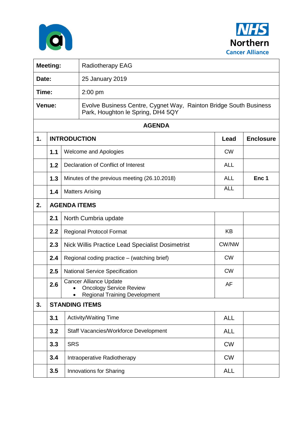



| <b>Meeting:</b> |     |                                                                                                         | <b>Radiotherapy EAG</b>                                                                                |            |                  |  |  |  |  |
|-----------------|-----|---------------------------------------------------------------------------------------------------------|--------------------------------------------------------------------------------------------------------|------------|------------------|--|--|--|--|
| Date:           |     |                                                                                                         | 25 January 2019                                                                                        |            |                  |  |  |  |  |
| Time:           |     |                                                                                                         | $2:00$ pm                                                                                              |            |                  |  |  |  |  |
| Venue:          |     |                                                                                                         | Evolve Business Centre, Cygnet Way, Rainton Bridge South Business<br>Park, Houghton le Spring, DH4 5QY |            |                  |  |  |  |  |
| <b>AGENDA</b>   |     |                                                                                                         |                                                                                                        |            |                  |  |  |  |  |
| 1.              |     |                                                                                                         | <b>INTRODUCTION</b>                                                                                    | Lead       | <b>Enclosure</b> |  |  |  |  |
|                 | 1.1 | <b>Welcome and Apologies</b>                                                                            |                                                                                                        | <b>CW</b>  |                  |  |  |  |  |
|                 | 1.2 | Declaration of Conflict of Interest                                                                     |                                                                                                        | <b>ALL</b> |                  |  |  |  |  |
|                 | 1.3 |                                                                                                         | Minutes of the previous meeting (26.10.2018)                                                           | <b>ALL</b> | Enc 1            |  |  |  |  |
|                 | 1.4 |                                                                                                         | <b>Matters Arising</b>                                                                                 | <b>ALL</b> |                  |  |  |  |  |
| 2.              |     | <b>AGENDA ITEMS</b>                                                                                     |                                                                                                        |            |                  |  |  |  |  |
|                 | 2.1 |                                                                                                         | North Cumbria update                                                                                   |            |                  |  |  |  |  |
|                 | 2.2 |                                                                                                         | <b>Regional Protocol Format</b>                                                                        | <b>KB</b>  |                  |  |  |  |  |
|                 | 2.3 | <b>Nick Willis Practice Lead Specialist Dosimetrist</b>                                                 |                                                                                                        | CW/NW      |                  |  |  |  |  |
|                 | 2.4 | Regional coding practice – (watching brief)                                                             |                                                                                                        | <b>CW</b>  |                  |  |  |  |  |
|                 | 2.5 |                                                                                                         | <b>National Service Specification</b>                                                                  | <b>CW</b>  |                  |  |  |  |  |
|                 | 2.6 | <b>Cancer Alliance Update</b><br><b>Oncology Service Review</b><br><b>Regional Training Development</b> |                                                                                                        | AF         |                  |  |  |  |  |
| 3.              |     | <b>STANDING ITEMS</b>                                                                                   |                                                                                                        |            |                  |  |  |  |  |
|                 | 3.1 |                                                                                                         | <b>Activity/Waiting Time</b>                                                                           | <b>ALL</b> |                  |  |  |  |  |
|                 | 3.2 |                                                                                                         | Staff Vacancies/Workforce Development                                                                  | <b>ALL</b> |                  |  |  |  |  |
|                 | 3.3 | <b>SRS</b>                                                                                              |                                                                                                        | <b>CW</b>  |                  |  |  |  |  |
|                 | 3.4 |                                                                                                         | Intraoperative Radiotherapy                                                                            | <b>CW</b>  |                  |  |  |  |  |
|                 | 3.5 |                                                                                                         | <b>Innovations for Sharing</b>                                                                         | <b>ALL</b> |                  |  |  |  |  |